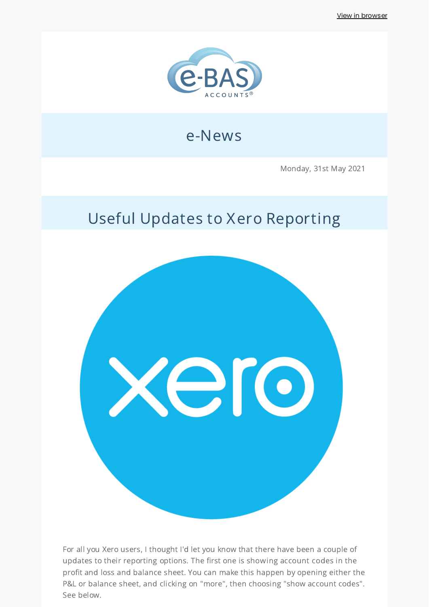View in [browser](http://localhost:3000/decode_hex/68747470733a2f2f707265766965772e6d61696c65726c6974652e636f6d2f6c3261386131)



## e-News

Monday, 31st May 2021

## Useful Updates to Xero Reporting



For all you Xero users, I thought I'd let you know that there have been a couple of updates to their reporting options. The first one is showing account codes in the profit and loss and balance sheet. You can make this happen by opening either the P&L or balance sheet, and clicking on "more", then choosing "show account codes". See below.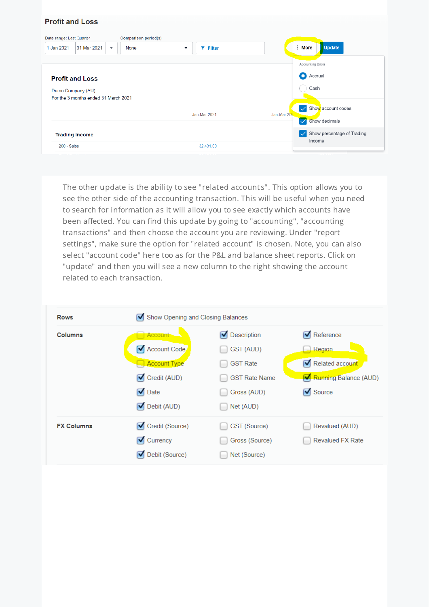#### **Profit and Loss**

| Date range: Last Quarter |                                      |                         | <b>Comparison period(s)</b> |                                        |                                                   |  |
|--------------------------|--------------------------------------|-------------------------|-----------------------------|----------------------------------------|---------------------------------------------------|--|
| 1 Jan 2021               | 31 Mar 2021                          | $\overline{\mathbf{v}}$ | None                        | $T$ Filter<br>$\overline{\phantom{a}}$ | $:$ More<br><b>Update</b>                         |  |
|                          |                                      |                         |                             |                                        | <b>Accounting Basis</b>                           |  |
|                          | <b>Profit and Loss</b>               | О<br>Accrual            |                             |                                        |                                                   |  |
|                          | Demo Company (AU)                    |                         |                             | Cash                                   |                                                   |  |
|                          | For the 3 months ended 31 March 2021 |                         |                             |                                        |                                                   |  |
|                          |                                      |                         |                             |                                        | Show account codes<br>$\boldsymbol{\mathcal{S}}$  |  |
|                          |                                      |                         |                             | Jan-Mar 2021                           | Jan-Mar 202<br>Show decimals<br>$\sqrt{}$         |  |
|                          | <b>Trading Income</b>                |                         |                             |                                        | Show percentage of Trading<br>$\vert \surd \vert$ |  |
| $200 - Sales$            |                                      |                         |                             | 32,431.00                              | Income                                            |  |
|                          |                                      |                         |                             |                                        | $\cdots$                                          |  |

The other update is the ability to see "related accounts". This option allows you to see the other side of the accounting transaction. This will be useful when you need to search for information as it will allow you to see exactly which accounts have been affected. You can find this update by going to "accounting", "accounting transactions" and then choose the account you are reviewing. Under "report settings", make sure the option for "related account" is chosen. Note, you can also select "account code" here too as for the P&L and balance sheet reports. Click on "update" and then you will see a new column to the right showing the account related to each transaction.

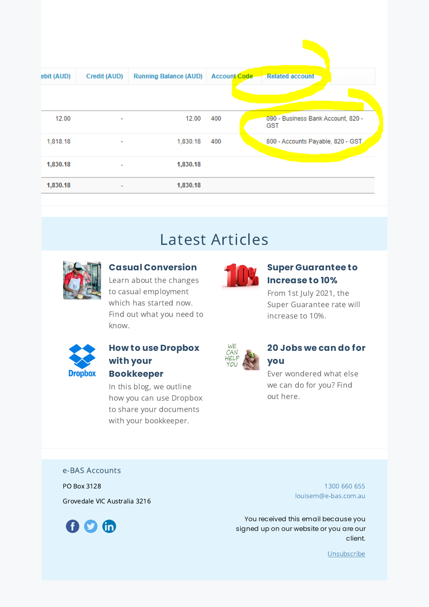| ebit (AUD) | Credit (AUD)             | <b>Running Balance (AUD)</b> | Account Code | <b>Related account</b>                           |
|------------|--------------------------|------------------------------|--------------|--------------------------------------------------|
|            |                          |                              |              |                                                  |
| 12.00      | ۰                        | 12.00                        | 400          | 090 - Business Bank Account, 820 -<br><b>GST</b> |
| 1,818.18   | ٠                        | 1,830.18                     | 400          | 800 - Accounts Payable, 820 - GST                |
| 1,830.18   |                          | 1,830.18                     |              |                                                  |
| 1,830.18   | $\overline{\phantom{a}}$ | 1,830.18                     |              |                                                  |

# Latest Articles



### **Casual [Conversion](https://www.e-bas.com.au/casual-conversion/)**

Learn about the changes to casual employment which has started now. Find out what you need to know.



### **Super [Guarantee](https://www.e-bas.com.au/super-guarantee-to-increase-to-10/) to Increase to 10%**

From 1st July 2021, the Super Guarantee rate will increase to 10%.



## **How to use Dropbox with your Bookkeeper**

In this blog, we outline how you can use Dropbox to share your documents with your bookkeeper.



### **20 Jobs we can do for you**

Ever wondered what else we can do for you? Find out here.

e-BAS Accounts

PO Box 3128

Grovedale VIC Australia 3216



[1300](tel:1300 660 655) 660 655 [louisem@e-bas.com.au](mailto:louisem@e-bas.com.au)

You received this email because you signed up on our website or you are our client.

[Unsubscribe](http://localhost:3000/decode_hex/68747470733a2f2f707265766965772e6d61696c65726c6974652e636f6d2f6c3261386131)